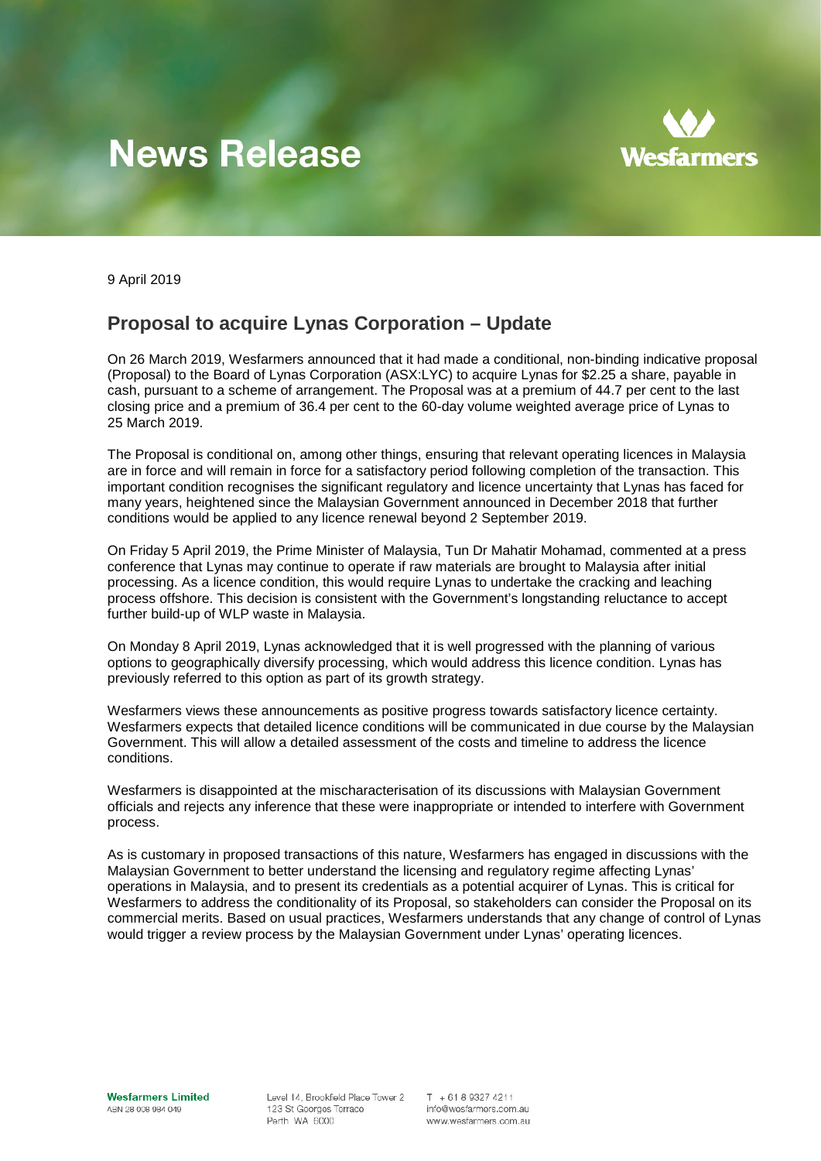## **News Release**



9 April 2019

## **Proposal to acquire Lynas Corporation – Update**

On 26 March 2019, Wesfarmers announced that it had made a conditional, non-binding indicative proposal (Proposal) to the Board of Lynas Corporation (ASX:LYC) to acquire Lynas for \$2.25 a share, payable in cash, pursuant to a scheme of arrangement. The Proposal was at a premium of 44.7 per cent to the last closing price and a premium of 36.4 per cent to the 60-day volume weighted average price of Lynas to 25 March 2019.

The Proposal is conditional on, among other things, ensuring that relevant operating licences in Malaysia are in force and will remain in force for a satisfactory period following completion of the transaction. This important condition recognises the significant regulatory and licence uncertainty that Lynas has faced for many years, heightened since the Malaysian Government announced in December 2018 that further conditions would be applied to any licence renewal beyond 2 September 2019.

On Friday 5 April 2019, the Prime Minister of Malaysia, Tun Dr Mahatir Mohamad, commented at a press conference that Lynas may continue to operate if raw materials are brought to Malaysia after initial processing. As a licence condition, this would require Lynas to undertake the cracking and leaching process offshore. This decision is consistent with the Government's longstanding reluctance to accept further build-up of WLP waste in Malaysia.

On Monday 8 April 2019, Lynas acknowledged that it is well progressed with the planning of various options to geographically diversify processing, which would address this licence condition. Lynas has previously referred to this option as part of its growth strategy.

Wesfarmers views these announcements as positive progress towards satisfactory licence certainty. Wesfarmers expects that detailed licence conditions will be communicated in due course by the Malaysian Government. This will allow a detailed assessment of the costs and timeline to address the licence conditions.

Wesfarmers is disappointed at the mischaracterisation of its discussions with Malaysian Government officials and rejects any inference that these were inappropriate or intended to interfere with Government process.

As is customary in proposed transactions of this nature, Wesfarmers has engaged in discussions with the Malaysian Government to better understand the licensing and regulatory regime affecting Lynas' operations in Malaysia, and to present its credentials as a potential acquirer of Lynas. This is critical for Wesfarmers to address the conditionality of its Proposal, so stakeholders can consider the Proposal on its commercial merits. Based on usual practices, Wesfarmers understands that any change of control of Lynas would trigger a review process by the Malaysian Government under Lynas' operating licences.

Level 14, Brookfield Place Tower 2 123 St Georges Terrace Perth WA 6000

 $T + 61893274211$ info@wesfarmers.com.au www.wesfarmers.com.au